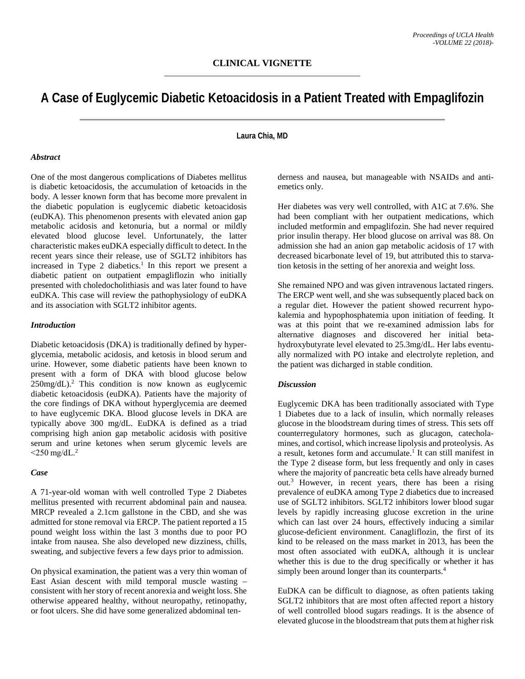# **A Case of Euglycemic Diabetic Ketoacidosis in a Patient Treated with Empaglifozin**

## **Laura Chia, MD**

#### *Abstract*

One of the most dangerous complications of Diabetes mellitus is diabetic ketoacidosis, the accumulation of ketoacids in the body. A lesser known form that has become more prevalent in the diabetic population is euglycemic diabetic ketoacidosis (euDKA). This phenomenon presents with elevated anion gap metabolic acidosis and ketonuria, but a normal or mildly elevated blood glucose level. Unfortunately, the latter characteristic makes euDKA especially difficult to detect. In the recent years since their release, use of SGLT2 inhibitors has increased in Type 2 diabetics. <sup>1</sup> In this report we present a diabetic patient on outpatient empagliflozin who initially presented with choledocholithiasis and was later found to have euDKA. This case will review the pathophysiology of euDKA and its association with SGLT2 inhibitor agents.

#### *Introduction*

Diabetic ketoacidosis (DKA) is traditionally defined by hyperglycemia, metabolic acidosis, and ketosis in blood serum and urine. However, some diabetic patients have been known to present with a form of DKA with blood glucose below 250mg/dL). <sup>2</sup> This condition is now known as euglycemic diabetic ketoacidosis (euDKA). Patients have the majority of the core findings of DKA without hyperglycemia are deemed to have euglycemic DKA. Blood glucose levels in DKA are typically above 300 mg/dL. EuDKA is defined as a triad comprising high anion gap metabolic acidosis with positive serum and urine ketones when serum glycemic levels are  $<$ 250 mg/dL.<sup>2</sup>

#### *Case*

A 71-year-old woman with well controlled Type 2 Diabetes mellitus presented with recurrent abdominal pain and nausea. MRCP revealed a 2.1cm gallstone in the CBD, and she was admitted for stone removal via ERCP. The patient reported a 15 pound weight loss within the last 3 months due to poor PO intake from nausea. She also developed new dizziness, chills, sweating, and subjective fevers a few days prior to admission.

On physical examination, the patient was a very thin woman of East Asian descent with mild temporal muscle wasting – consistent with her story of recent anorexia and weight loss. She otherwise appeared healthy, without neuropathy, retinopathy, or foot ulcers. She did have some generalized abdominal tenderness and nausea, but manageable with NSAIDs and antiemetics only.

Her diabetes was very well controlled, with A1C at 7.6%. She had been compliant with her outpatient medications, which included metformin and empaglifozin. She had never required prior insulin therapy. Her blood glucose on arrival was 88. On admission she had an anion gap metabolic acidosis of 17 with decreased bicarbonate level of 19, but attributed this to starvation ketosis in the setting of her anorexia and weight loss.

She remained NPO and was given intravenous lactated ringers. The ERCP went well, and she was subsequently placed back on a regular diet. However the patient showed recurrent hypokalemia and hypophosphatemia upon initiation of feeding. It was at this point that we re-examined admission labs for alternative diagnoses and discovered her initial betahydroxybutyrate level elevated to 25.3mg/dL. Her labs eventually normalized with PO intake and electrolyte repletion, and the patient was dicharged in stable condition.

### *Discussion*

Euglycemic DKA has been traditionally associated with Type 1 Diabetes due to a lack of insulin, which normally releases glucose in the bloodstream during times of stress. This sets off counterregulatory hormones, such as glucagon, catecholamines, and cortisol, which increase lipolysis and proteolysis. As a result, ketones form and accumulate. <sup>1</sup> It can still manifest in the Type 2 disease form, but less frequently and only in cases where the majority of pancreatic beta cells have already burned out.3 However, in recent years, there has been a rising prevalence of euDKA among Type 2 diabetics due to increased use of SGLT2 inhibitors. SGLT2 inhibitors lower blood sugar levels by rapidly increasing glucose excretion in the urine which can last over 24 hours, effectively inducing a similar glucose-deficient environment. Canagliflozin, the first of its kind to be released on the mass market in 2013, has been the most often associated with euDKA, although it is unclear whether this is due to the drug specifically or whether it has simply been around longer than its counterparts.<sup>4</sup>

EuDKA can be difficult to diagnose, as often patients taking SGLT2 inhibitors that are most often affected report a history of well controlled blood sugars readings. It is the absence of elevated glucose in the bloodstream that puts them at higher risk